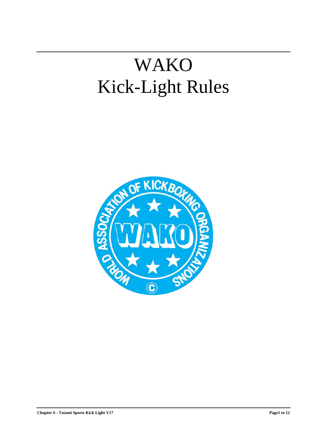# WAKO Kick-Light Rules

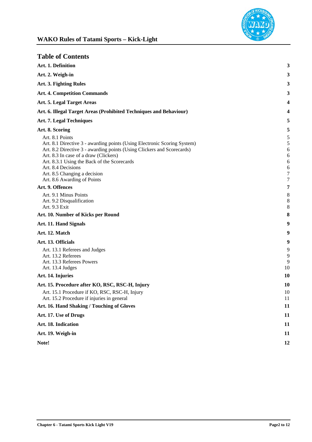

| <b>Table of Contents</b>                                                             |                |
|--------------------------------------------------------------------------------------|----------------|
| Art. 1. Definition                                                                   | 3              |
| Art. 2. Weigh-in                                                                     | 3              |
| Art. 3. Fighting Rules                                                               | 3              |
| <b>Art. 4. Competition Commands</b>                                                  | 3              |
| Art. 5. Legal Target Areas                                                           | 4              |
| Art. 6. Illegal Target Areas (Prohibited Techniques and Behaviour)                   | 4              |
| Art. 7. Legal Techniques                                                             | 5              |
| Art. 8. Scoring                                                                      | 5              |
| Art. 8.1 Points                                                                      | 5              |
| Art. 8.1 Directive 3 - awarding points (Using Electronic Scoring System)             | 5              |
| Art. 8.2 Directive 3 - awarding points (Using Clickers and Scorecards)               | 6              |
| Art. 8.3 In case of a draw (Clickers)<br>Art. 8.3.1 Using the Back of the Scorecards | 6<br>6         |
| Art. 8.4 Decisions                                                                   | 6              |
| Art. 8.5 Changing a decision                                                         | $\tau$         |
| Art. 8.6 Awarding of Points                                                          | $\tau$         |
| Art. 9. Offences                                                                     | 7              |
| Art. 9.1 Minus Points                                                                | $8\phantom{1}$ |
| Art. 9.2 Disqualification                                                            | 8              |
| Art. 9.3 Exit                                                                        | 8              |
| Art. 10. Number of Kicks per Round                                                   | 8              |
| Art. 11. Hand Signals                                                                | 9              |
| Art. 12. Match                                                                       | 9              |
| Art. 13. Officials                                                                   | 9              |
| Art. 13.1 Referees and Judges                                                        | 9              |
| Art. 13.2 Referees                                                                   | 9              |
| Art. 13.3 Referees Powers                                                            | 9              |
| Art. 13.4 Judges                                                                     | 10             |
| Art. 14. Injuries                                                                    | <b>10</b>      |
| Art. 15. Procedure after KO, RSC, RSC-H, Injury                                      | <b>10</b>      |
| Art. 15.1 Procedure if KO, RSC, RSC-H, Injury                                        | 10             |
| Art. 15.2 Procedure if injuries in general                                           | 11             |
| Art. 16. Hand Shaking / Touching of Gloves                                           | 11             |
| Art. 17. Use of Drugs                                                                | 11             |
| Art. 18. Indication                                                                  | 11             |
| Art. 19. Weigh-in                                                                    | 11             |
| Note!                                                                                | 12             |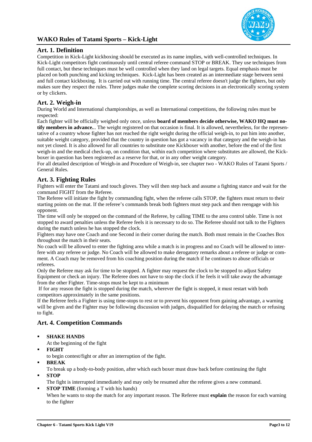

# **Art. 1. Definition**

Competition in Kick-Light kickboxing should be executed as its name implies, with well-controlled techniques. In Kick-Light competitors fight continuously until central referee command STOP or BREAK. They use techniques from full contact, but these techniques must be well controlled when they land on legal targets. Equal emphasis must be placed on both punching and kicking techniques. Kick-Light has been created as an intermediate stage between semi and full contact kickboxing. It is carried out with running time. The central referee doesn't judge the fighters, but only makes sure they respect the rules. Three judges make the complete scoring decisions in an electronically scoring system or by clickers.

# **Art. 2. Weigh-in**

During World and International championships, as well as International competitions, the following rules must be respected:

Each fighter will be officially weighed only once, unless **board of members decide otherwise, WAKO HQ must notify members in advance.**.. The weight registered on that occasion is final. It is allowed, nevertheless, for the representative of a country whose fighter has not reached the right weight during the official weigh-in, to put him into another, suitable weight category, provided that the country in question has got a vacancy in that category and the weigh-in has not yet closed. It is also allowed for all countries to substitute one Kickboxer with another, before the end of the first weigh-in and the medical check-up, on condition that, within each competition where substitutes are allowed, the Kickboxer in question has been registered as a reserve for that, or in any other weight category.

For all detailed description of Weigh-in and Procedure of Weigh-in, see chapter two - WAKO Rules of Tatami Sports / General Rules.

# **Art. 3. Fighting Rules**

Fighters will enter the Tatami and touch gloves. They will then step back and assume a fighting stance and wait for the command FIGHT from the Referee.

The Referee will initiate the fight by commanding fight, when the referee calls STOP, the fighters must return to their starting points on the mat. If the referee's commands break both fighters must step pack and then reengage with his opponent.

The time will only be stopped on the command of the Referee, by calling TIME to the area control table. Time is not stopped to award penalties unless the Referee feels it is necessary to do so. The Referee should not talk to the Fighters during the match unless he has stopped the clock.

Fighters may have one Coach and one Second in their corner during the match. Both must remain in the Coaches Box throughout the match in their seats.

No coach will be allowed to enter the fighting area while a match is in progress and no Coach will be allowed to interfere with any referee or judge. No Coach will be allowed to make derogatory remarks about a referee or judge or comment. A Coach may be removed from his coaching position during the match if he continues to abuse officials or referees.

Only the Referee may ask for time to be stopped. A fighter may request the clock to be stopped to adjust Safety Equipment or check an injury. The Referee does not have to stop the clock if he feels it will take away the advantage from the other Fighter. Time-stops must be kept to a minimum

 If for any reason the fight is stopped during the match, wherever the fight is stopped, it must restart with both competitors approximately in the same positions.

If the Referee feels a Fighter is using time-stops to rest or to prevent his opponent from gaining advantage, a warning will be given and the Fighter may be following discussion with judges, disqualified for delaying the match or refusing to fight.

# **Art. 4. Competition Commands**

**SHAKE HANDS**

At the beginning of the fight

**FIGHT**

to begin contest/fight or after an interruption of the fight.

**BREAK**

To break up a body-to-body position, after which each boxer must draw back before continuing the fight

**STOP**

The fight is interrupted immediately and may only be resumed after the referee gives a new command.

**STOP TIME** (forming a T with his hands) When he wants to stop the match for any important reason. The Referee must **explain** the reason for each warning to the fighter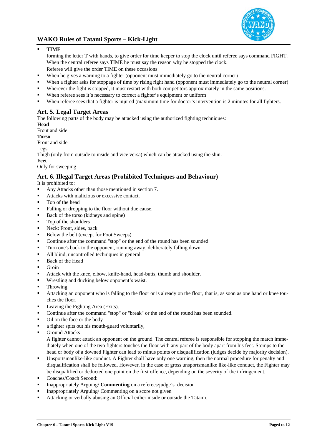

# **TIME**

forming the letter T with hands, to give order for time keeper to stop the clock until referee says command FIGHT. When the central referee says TIME he must say the reason why he stopped the clock. Referee will give the order TIME on these occasions:

- When he gives a warning to a fighter (opponent must immediately go to the neutral corner)
- When a fighter asks for stoppage of time by rising right hand (opponent must immediately go to the neutral corner)
- Wherever the fight is stopped, it must restart with both competitors approximately in the same positions.
- When referee sees it's necessary to correct a fighter's equipment or uniform
- When referee sees that a fighter is injured (maximum time for doctor's intervention is 2 minutes for all fighters.

# **Art. 5. Legal Target Areas**

The following parts of the body may be attacked using the authorized fighting techniques:

**Head**  Front and side **Torso F**ront and side Legs Thigh (only from outside to inside and vice versa) which can be attacked using the shin. **Feet**  Only for sweeping

# **Art. 6. Illegal Target Areas (Prohibited Techniques and Behaviour)**

It is prohibited to:

- Any Attacks other than those mentioned in section 7.
- Attacks with malicious or excessive contact.
- Top of the head
- Falling or dropping to the floor without due cause.
- Back of the torso (kidneys and spine)
- Top of the shoulders
- Neck: Front, sides, back
- Below the belt (except for Foot Sweeps)
- Continue after the command "stop" or the end of the round has been sounded
- Turn one's back to the opponent, running away, deliberately falling down.
- All blind, uncontrolled techniques in general
- Back of the Head
- **Groin**
- Attack with the knee, elbow, knife-hand, head-butts, thumb and shoulder.
- Wrestling and ducking below opponent's waist.
- **Throwing**
- Attacking an opponent who is falling to the floor or is already on the floor, that is, as soon as one hand or knee touches the floor.
- Leaving the Fighting Area (Exits).
- Continue after the command "stop" or "break" or the end of the round has been sounded.
- Oil on the face or the body
- a fighter spits out his mouth-guard voluntarily,
- **Ground Attacks**

A fighter cannot attack an opponent on the ground. The central referee is responsible for stopping the match immediately when one of the two fighters touches the floor with any part of the body apart from his feet. Stomps to the head or body of a downed Fighter can lead to minus points or disqualification (judges decide by majority decision).

- Unsportsmanlike-like conduct. A Fighter shall have only one warning, then the normal procedure for penalty and disqualification shall be followed. However, in the case of gross unsportsmanlike like-like conduct, the Fighter may be disqualified or deducted one point on the first offence, depending on the severity of the infringement.
- Coaches/Coach Second:
- Inappropriately Arguing/ **Commenting** on a referees/judge's decision
- Inappropriately Arguing/ Commenting on a score not given
- Attacking or verbally abusing an Official either inside or outside the Tatami.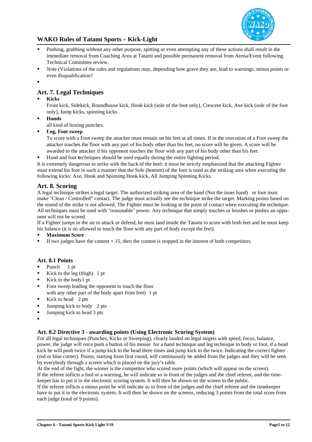

- Pushing, grabbing without any other purpose, spitting or even attempting any of these actions shall result in the immediate removal from Coaching Area at Tatami and possible permanent removal from Arena/Event following Technical Committee review.
- Note (Violations of the rules and regulations may, depending how grave they are, lead to warnings, minus points or even disqualification?
- .

# **Art. 7. Legal Techniques**

# **Kicks**

Front kick, Sidekick, Roundhouse kick, Hook kick (sole of the foot only), Crescent kick, Axe kick (sole of the foot only), Jump kicks, spinning kicks

- **Hands**  all kind of boxing punches.
- **Leg, Foot sweep**

To score with a Foot sweep the attacker must remain on his feet at all times. If in the execution of a Foot sweep the attacker touches the floor with any part of his body other than his feet, no score will be given. A score will be awarded to the attacker if his opponent touches the floor with any part of his body other than his feet.

Hand and foot **t**echniques should be used equally during the entire fighting period.

It is extremely dangerous to strike with the back of the heel; it must be strictly emphasized that the attacking Fighter must extend his foot in such a manner that the Sole (bottom) of the foot is used as the striking area when executing the following kicks: Axe, Hook and Spinning Hook kick, All Jumping Spinning Kicks.

# **Art. 8. Scoring**

A legal technique strikes a legal target. The authorized striking area of the hand (Not the inner hand) or foot must make "Clean / Controlled" contact. The judge must actually see the technique strike the target. Marking points based on the sound of the strike is not allowed. The Fighter must be looking at the point of contact when executing the technique. All techniques must be used with "reasonable" power. Any technique that simply touches or brushes or pushes an opponent will not be scored.

If a Fighter jumps in the air to attack or defend, he must land inside the Tatami to score with both feet and he must keep his balance (it is no allowed to touch the floor with any part of body except the feet).

- **Maximum Score**
- If two judges have the contest  $+ 15$ , then the contest is stopped in the interest of both competitors.

# **Art. 8.1 Points**

- Punch 1 pt
- Kick to the leg (thigh) 1 pt
- $\blacksquare$  Kick to the body 1 pt
- Foot sweep leading the opponent to touch the floor
- with any other part of the body apart from feet) 1 pt
- Kick to head 2 pts
- Jumping kick to body 2 pts
- Ulmping kick to head 3 pts
- :

# **Art. 8.2 Directive 3 - awarding points (Using Electronic Scoring System)**

For all legal techniques (Punches, Kicks or Sweeping), clearly landed on legal targets with speed, focus, balance, power, the judge will once push a button of his mouse for a hand technique and leg technique to body or foot, if a head kick he will push twice if a jump kick to the head three times and jump kick to the twice. Indicating the correct fighter (red or blue corner). Points, starting from first round, will continuously be added from the judges and they will be seen by everybody through a screen which is placed on the jury's table.

At the end of the fight, the winner is the competitor who scored more points (which will appear on the screen). If the referee inflicts a foul or a warning, he will indicate so in front of the judges and the chief referee, and the timekeeper has to put it in the electronic scoring system. It will then be shown on the screen to the public.

If the referee inflicts a minus point he will indicate so in front of the judges and the chief referee and the timekeeper have to put it in the electronic system. It will then be shown on the screens, reducing 3 points from the total score from each judge (total of 9 points).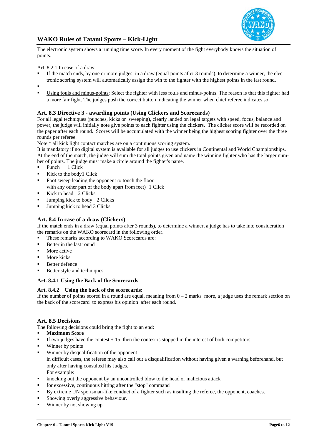

The electronic system shows a running time score. In every moment of the fight everybody knows the situation of points.

Art. 8.2.1 In case of a draw

- If the match ends, by one or more judges, in a draw (equal points after 3 rounds), to determine a winner, the electronic scoring system will automatically assign the win to the fighter with the highest points in the last round.
- .
- Using fouls and minus-points: Select the fighter with less fouls and minus-points. The reason is that this fighter had a more fair fight. The judges push the correct button indicating the winner when chief referee indicates so.

# **Art. 8.3 Directive 3 - awarding points (Using Clickers and Scorecards)**

For all legal techniques (punches, kicks or sweeping), clearly landed on legal targets with speed, focus, balance and power, the judge will initially note give points to each fighter using the clickers. The clicker score will be recorded on the paper after each round. Scores will be accumulated with the winner being the highest scoring fighter over the three rounds per referee.

Note \* all kick light contact matches are on a continuous scoring system.

It is mandatory if no digital system is available for all judges to use clickers in Continental and World Championships. At the end of the match, the judge will sum the total points given and name the winning fighter who has the larger number of points. The judge must make a circle around the fighter's name.

- Punch 1 Click
- Kick to the body 1 Click
- Foot sweep leading the opponent to touch the floor
	- with any other part of the body apart from feet) 1 Click
- Kick to head 2 Clicks
- Jumping kick to body 2 Clicks
- Jumping kick to head 3 Clicks

## **Art. 8.4 In case of a draw (Clickers)**

If the match ends in a draw (equal points after 3 rounds), to determine a winner, a judge has to take into consideration the remarks on the WAKO scorecard in the following order.

- **These remarks according to WAKO Scorecards are:**
- Better in the last round
- More active
- $\blacksquare$  More kicks
- Better defence
- Better style and techniques

#### **Art. 8.4.1 Using the Back of the Scorecards**

## **Art. 8.4.2 Using the back of the scorecards:**

If the number of points scored in a round are equal, meaning from  $0 - 2$  marks more, a judge uses the remark section on the back of the scorecard to express his opinion after each round.

## **Art. 8.5 Decisions**

The following decisions could bring the fight to an end:

- **Maximum Score**
- If two judges have the contest  $+ 15$ , then the contest is stopped in the interest of both competitors.
- **Winner by points**
- Winner by disqualification of the opponent in difficult cases, the referee may also call out a disqualification without having given a warning beforehand, but only after having consulted his Judges. For example:
- knocking out the opponent by an uncontrolled blow to the head or malicious attack
- for excessive, continuous hitting after the "stop" command
- By extreme UN sportsman-like conduct of a fighter such as insulting the referee, the opponent, coaches.
- Showing overly aggressive behaviour.
- Winner by not showing up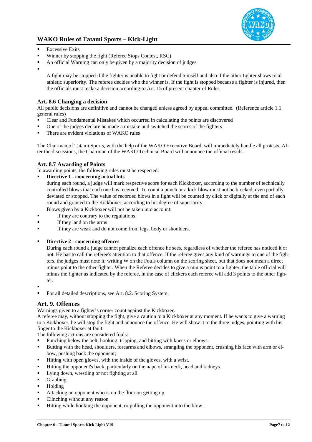

- $\blacksquare$  Excessive Exits
- Winner by stopping the fight (Referee Stops Contest, RSC)
- An official Warning can only be given by a majority decision of judges.
- :

A fight may be stopped if the fighter is unable to fight or defend himself and also if the other fighter shows total athletic superiority. The referee decides who the winner is. If the fight is stopped because a fighter is injured, then the officials must make a decision according to Art. 15 of present chapter of Rules.

# **Art. 8.6 Changing a decision**

All public decisions are definitive and cannot be changed unless agreed by appeal committee. (Reference article 1.1 general rules)

- Clear and Fundamental Mistakes which occurred in calculating the points are discovered
- One of the judges declare he made a mistake and switched the scores of the fighters
- There are evident violations of WAKO rules

The Chairman of Tatami Sports, with the help of the WAKO Executive Board, will immediately handle all protests. After the discussions, the Chairman of the WAKO Technical Board will announce the official result.

# **Art. 8.7 Awarding of Points**

In awarding points, the following rules must be respected:

**Directive 1 - concerning actual hits**

during each round, a judge will mark respective score for each Kickboxer, according to the number of technically controlled blows that each one has received. To count a punch or a kick blow must not be blocked, even partially deviated or stopped. The value of recorded blows in a fight will be counted by click or digitally at the end of each round and granted to the Kickboxer, according to his degree of superiority.

Blows given by a Kickboxer will not be taken into account:

- If they are contrary to the regulations
- If they land on the arms
- If they are weak and do not come from legs, body or shoulders.

## **Directive 2 - concerning offences**

During each round a judge cannot penalize each offence he sees, regardless of whether the referee has noticed it or not. He has to call the referee's attention to that offence. If the referee gives any kind of warnings to one of the fighters, the judges must note it; writing W on the Fouls column on the scoring sheet, but that does not mean a direct minus point to the other fighter. When the Referee decides to give a minus point to a fighter, the table official will minus the fighter as indicated by the referee, in the case of clickers each referee will add 3 points to the other fighter.

- :
- For all detailed descriptions, see Art. 8.2. Scoring System.

# **Art. 9. Offences**

Warnings given to a fighter's corner count against the Kickboxer.

A referee may, without stopping the fight, give a caution to a Kickboxer at any moment. If he wants to give a warning to a Kickboxer, he will stop the fight and announce the offence. He will show it to the three judges, pointing with his finger to the Kickboxer at fault.

The following actions are considered fouls:

- Punching below the belt, hooking, tripping, and hitting with knees or elbows.
- Butting with the head, shoulders, forearms and elbows, strangling the opponent, crushing his face with arm or elbow, pushing back the opponent;
- Hitting with open gloves, with the inside of the gloves, with a wrist.
- Hitting the opponent's back, particularly on the nape of his neck, head and kidneys.
- **Lying down, wrestling or not fighting at all**
- **Grabbing**
- **Holding**
- Attacking an opponent who is on the floor on getting up
- Clinching without any reason
- Hitting while hooking the opponent, or pulling the opponent into the blow.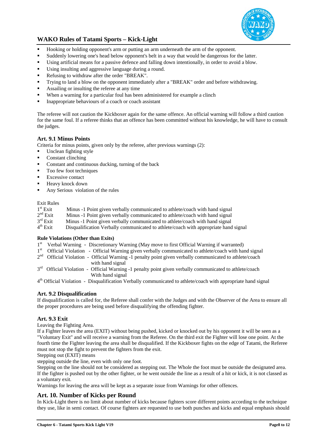

- Hooking or holding opponent's arm or putting an arm underneath the arm of the opponent.
- Suddenly lowering one's head below opponent's belt in a way that would be dangerous for the latter.
- Using artificial means for a passive defence and falling down intentionally, in order to avoid a blow.
- Using insulting and aggressive language during a round.
- Refusing to withdraw after the order "BREAK".
- Trying to land a blow on the opponent immediately after a "BREAK" order and before withdrawing.
- Assailing or insulting the referee at any time
- When a warning for a particular foul has been administered for example a clinch
- $\blacksquare$  Inappropriate behaviours of a coach or coach assistant

The referee will not caution the Kickboxer again for the same offence. An official warning will follow a third caution for the same foul. If a referee thinks that an offence has been committed without his knowledge, he will have to consult the judges.

## **Art. 9.1 Minus Points**

Criteria for minus points, given only by the referee, after previous warnings (2):

- Unclean fighting style
- Constant clinching
- Constant and continuous ducking, turning of the back
- Too few foot techniques
- $\blacksquare$  Excessive contact
- **Heavy knock down**
- Any Serious violation of the rules

#### Exit Rules

| $1st$ Exit | Minus -1 Point given verbally communicated to athlete/coach with hand signal         |
|------------|--------------------------------------------------------------------------------------|
| $2nd$ Exit | Minus -1 Point given verbally communicated to athlete/coach with hand signal         |
| $3rd$ Exit | Minus -1 Point given verbally communicated to athlete/coach with hand signal         |
| $4th$ Exit | Disqualification Verbally communicated to athlete/coach with appropriate hand signal |

#### **Rule Violations (Other than Exits)**

- $1<sup>st</sup>$  Verbal Warning Discretionary Warning (May move to first Official Warning if warranted)<br> $1<sup>st</sup>$  Official Violation Official Warning given verbally communicated to athleta/coach with hour
- Official Violation Official Warning given verbally communicated to athlete/coach with hand signal
- 2<sup>nd</sup> Official Violation Official Warning -1 penalty point given verbally communicated to athlete/coach with hand signal
- $3<sup>rd</sup>$  Official Violation Official Warning -1 penalty point given verbally communicated to athlete/coach With hand signal

4th Official Violation - Disqualification Verbally communicated to athlete/coach with appropriate hand signal

## **Art. 9.2 Disqualification**

If disqualification is called for, the Referee shall confer with the Judges and with the Observer of the Area to ensure all the proper procedures are being used before disqualifying the offending fighter.

# **Art. 9.3 Exit**

Leaving the Fighting Area.

If a Fighter leaves the area (EXIT) without being pushed, kicked or knocked out by his opponent it will be seen as a "Voluntary Exit" and will receive a warning from the Referee. On the third exit the Fighter will lose one point. At the fourth time the Fighter leaving the area shall be disqualified. If the Kickboxer fights on the edge of Tatami, the Referee must not stop the fight to prevent the fighters from the exit.

Stepping out (EXIT) means

stepping outside the line, even with only one foot.

Stepping on the line should not be considered as stepping out. The Whole the foot must be outside the designated area. If the fighter is pushed out by the other fighter, or he went outside the line as a result of a hit or kick, it is not classed as a voluntary exit.

Warnings for leaving the area will be kept as a separate issue from Warnings for other offences.

## **Art. 10. Number of Kicks per Round**

In Kick-Light there is no limit about number of kicks because fighters score different points according to the technique they use, like in semi contact. Of course fighters are requested to use both punches and kicks and equal emphasis should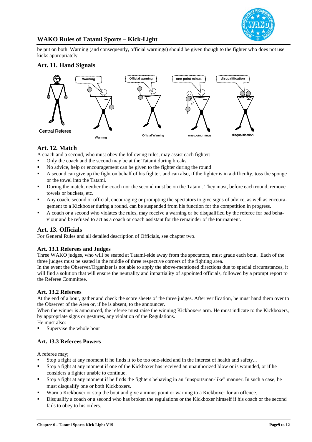

be put on both. Warning (and consequently, official warnings) should be given though to the fighter who does not use kicks appropriately

# **Art. 11. Hand Signals**



# **Art. 12. Match**

A coach and a second, who must obey the following rules, may assist each fighter:

- Only the coach and the second may be at the Tatami during breaks.
- No advice, help or encouragement can be given to the fighter during the round
- A second can give up the fight on behalf of his fighter, and can also, if the fighter is in a difficulty, toss the sponge or the towel into the Tatami.
- During the match, neither the coach nor the second must be on the Tatami. They must, before each round, remove towels or buckets, etc.
- Any coach, second or official, encouraging or prompting the spectators to give signs of advice, as well as encouragement to a Kickboxer during a round, can be suspended from his function for the competition in progress.
- A coach or a second who violates the rules, may receive a warning or be disqualified by the referee for bad behaviour and be refused to act as a coach or coach assistant for the remainder of the tournament.

# **Art. 13. Officials**

For General Rules and all detailed description of Officials, see chapter two.

## **Art. 13.1 Referees and Judges**

Three WAKO judges, who will be seated at Tatami-side away from the spectators, must grade each bout. Each of the three judges must be seated in the middle of three respective corners of the fighting area.

In the event the Observer/Organizer is not able to apply the above-mentioned directions due to special circumstances, it will find a solution that will ensure the neutrality and impartiality of appointed officials, followed by a prompt report to the Referee Committee.

## **Art. 13.2 Referees**

At the end of a bout, gather and check the score sheets of the three judges. After verification, he must hand them over to the Observer of the Area or, if he is absent, to the announcer.

When the winner is announced, the referee must raise the winning Kickboxers arm. He must indicate to the Kickboxers, by appropriate signs or gestures, any violation of the Regulations.

- He must also:
- Supervise the whole bout

# **Art. 13.3 Referees Powers**

A referee may;

- Stop a fight at any moment if he finds it to be too one-sided and in the interest of health and safety...
- Stop a fight at any moment if one of the Kickboxer has received an unauthorized blow or is wounded, or if he considers a fighter unable to continue.
- Stop a fight at any moment if he finds the fighters behaving in an "unsportsman-like" manner. In such a case, he must disqualify one or both Kickboxers.
- Warn a Kickboxer or stop the bout and give a minus point or warning to a Kickboxer for an offence.
- Disqualify a coach or a second who has broken the regulations or the Kickboxer himself if his coach or the second fails to obey to his orders.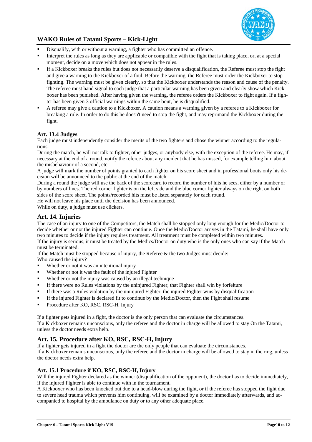

- Disqualify, with or without a warning, a fighter who has committed an offence.
- Interpret the rules as long as they are applicable or compatible with the fight that is taking place, or, at a special moment, decide on a move which does not appear in the rules.
- If a Kickboxer breaks the rules but does not necessarily deserve a disqualification, the Referee must stop the fight and give a warning to the Kickboxer of a foul. Before the warning, the Referee must order the Kickboxer to stop fighting. The warning must be given clearly, so that the Kickboxer understands the reason and cause of the penalty. The referee must hand signal to each judge that a particular warning has been given and clearly show which Kickboxer has been punished. After having given the warning, the referee orders the Kickboxer to fight again. If a fighter has been given 3 official warnings within the same bout, he is disqualified.
- A referee may give a caution to a Kickboxer. A caution means a warning given by a referee to a Kickboxer for breaking a rule. In order to do this he doesn't need to stop the fight, and may reprimand the Kickboxer during the fight.

# **Art. 13.4 Judges**

Each judge must independently consider the merits of the two fighters and chose the winner according to the regulations.

During the match, he will not talk to fighter, other judges, or anybody else, with the exception of the referee. He may, if necessary at the end of a round, notify the referee about any incident that he has missed, for example telling him about the misbehaviour of a second, etc.

A judge will mark the number of points granted to each fighter on his score sheet and in professional bouts only his decision will be announced to the public at the end of the match.

During a round the judge will use the back of the scorecard to record the number of hits he sees, either by a number or by numbers of lines. The red corner fighter is on the left side and the blue corner fighter always on the right on both sides of the score sheet. The points/recorded hits must be listed separately for each round.

He will not leave his place until the decision has been announced.

While on duty, a judge must use clickers.

# **Art. 14. Injuries**

The case of an injury to one of the Competitors, the Match shall be stopped only long enough for the Medic/Doctor to decide whether or not the injured Fighter can continue. Once the Medic/Doctor arrives in the Tatami, he shall have only two minutes to decide if the injury requires treatment. All treatment must be completed within two minutes. If the injury is serious, it must be treated by the Medics/Doctor on duty who is the only ones who can say if the Match must be terminated.

If the Match must be stopped because of injury, the Referee & the two Judges must decide:

Who caused the injury?

- Whether or not it was an intentional injury
- Whether or not it was the fault of the injured Fighter
- Whether or not the injury was caused by an illegal technique
- If there were no Rules violations by the uninjured Fighter, that Fighter shall win by forfeiture
- If there was a Rules violation by the uninjured Fighter, the injured Fighter wins by disqualification
- If the injured Fighter is declared fit to continue by the Medic/Doctor, then the Fight shall resume
- Procedure after KO, RSC, RSC-H, Injury

If a fighter gets injured in a fight, the doctor is the only person that can evaluate the circumstances. If a Kickboxer remains unconscious, only the referee and the doctor in charge will be allowed to stay On the Tatami, unless the doctor needs extra help.

# **Art. 15. Procedure after KO, RSC, RSC-H, Injury**

If a fighter gets injured in a fight the doctor are the only people that can evaluate the circumstances.

If a Kickboxer remains unconscious, only the referee and the doctor in charge will be allowed to stay in the ring, unless the doctor needs extra help.

# **Art. 15.1 Procedure if KO, RSC, RSC-H, Injury**

Will the injured Fighter declared as the winner (disqualification of the opponent), the doctor has to decide immediately, if the injured Fighter is able to continue with in the tournament.

A Kickboxer who has been knocked out due to a head-blow during the fight, or if the referee has stopped the fight due to severe head trauma which prevents him continuing, will be examined by a doctor immediately afterwards, and accompanied to hospital by the ambulance on duty or to any other adequate place.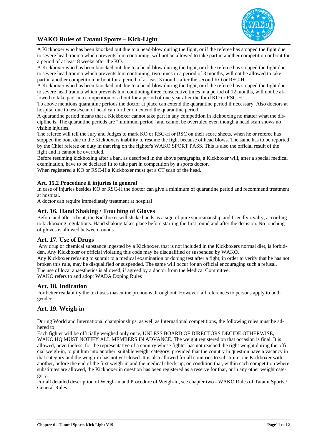

A Kickboxer who has been knocked out due to a head-blow during the fight, or if the referee has stopped the fight due to severe head trauma which prevents him continuing, will not be allowed to take part in another competition or bout for a period of at least **8** weeks after the KO.

A Kickboxer who has been knocked out due to a head-blow during the fight, or if the referee has stopped the fight due to severe head trauma which prevents him continuing, two times in a period of 3 months, will not be allowed to take part in another competition or bout for a period of at least 3 months after the second KO or RSC-H.

A Kickboxer who has been knocked out due to a head-blow during the fight, or if the referee has stopped the fight due to severe head trauma which prevents him continuing three consecutive times in a period of 12 months, will not be allowed to take part in a competition or a bout for a period of one year after the third KO or RSC-H.

To above mentions quarantine periods the doctor at place can extend the quarantine period if necessary. Also doctors at hospital due to tests/scan of head can further on extend the quarantine period.

A quarantine period means that a Kickboxer cannot take part in any competition in kickboxing no matter what the discipline is. The quarantine periods are "minimum period" and cannot be overruled even though a head scan shows no visible injuries.

The referee will tell the Jury and Judges to mark KO or RSC-H or RSC on their score sheets, when he or referee has stopped the bout due to the Kickboxers inability to resume the fight because of head blows. The same has to be reported by the Chief referee on duty in that ring on the fighter's WAKO SPORT PASS. This is also the official result of the fight and it cannot be overruled.

Before resuming kickboxing after a ban, as described in the above paragraphs, a Kickboxer will, after a special medical examination, have to be declared fit to take part in competition by a sports doctor.

When registered a KO or RSC-H a Kickboxer must get a CT scan of the head.

# **Art. 15.2 Procedure if injuries in general**

In case of injuries besides KO or RSC-H the doctor can give a minimum of quarantine period and recommend treatment at hospital.

A doctor can require immediately treatment at hospital

## **Art. 16. Hand Shaking / Touching of Gloves**

Before and after a bout, the Kickboxer will shake hands as a sign of pure sportsmanship and friendly rivalry, according to kickboxing regulations. Hand shaking takes place before starting the first round and after the decision. No touching of gloves is allowed between rounds.

## **Art. 17. Use of Drugs**

 Any drug or chemical substance ingested by a Kickboxer, that is not included in the Kickboxers normal diet, is forbidden. Any Kickboxer or official violating this code may be disqualified or suspended by WAKO.

Any Kickboxer refusing to submit to a medical examination or doping test after a fight, in order to verify that he has not broken this rule, may be disqualified or suspended. The same will occur for an official encouraging such a refusal. The use of local anaesthetics is allowed, if agreed by a doctor from the Medical Committee. WAKO refers to and adopt WADA Doping Rules

## **Art. 18. Indication**

For better readability the text uses masculine pronouns throughout. However, all references to persons apply to both genders.

# **Art. 19. Weigh-in**

During World and International championships, as well as International competitions, the following rules must be adhered to:

Each fighter will be officially weighed only once, UNLESS BOARD OF DIRECTORS DECIDE OTHERWISE,

WAKO HQ MUST NOTIFY ALL MEMBERS IN ADVANCE. The weight registered on that occasion is final. It is allowed, nevertheless, for the representative of a country whose fighter has not reached the right weight during the official weigh-in, to put him into another, suitable weight category, provided that the country in question have a vacancy in that category and the weigh-in has not yet closed. It is also allowed for all countries to substitute one Kickboxer with another, before the end of the first weigh-in and the medical check-up, on condition that, within each competition where substitutes are allowed, the Kickboxer in question has been registered as a reserve for that, or in any other weight category.

For all detailed description of Weigh-in and Procedure of Weigh-in, see chapter two - WAKO Rules of Tatami Sports / General Rules.